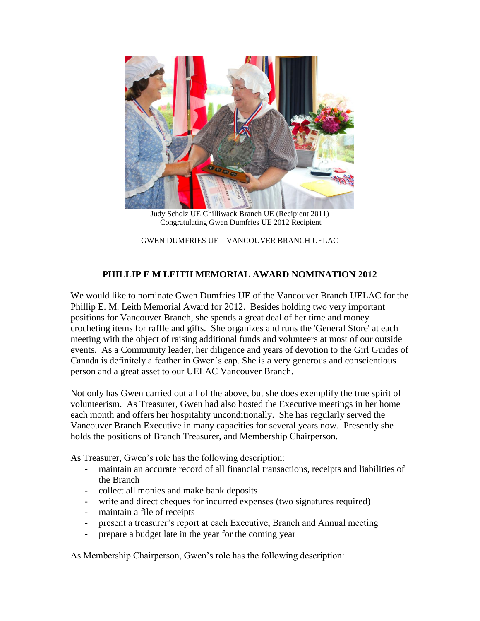

Judy Scholz UE Chilliwack Branch UE (Recipient 2011) Congratulating Gwen Dumfries UE 2012 Recipient

GWEN DUMFRIES UE – VANCOUVER BRANCH UELAC

## **PHILLIP E M LEITH MEMORIAL AWARD NOMINATION 2012**

We would like to nominate Gwen Dumfries UE of the Vancouver Branch UELAC for the Phillip E. M. Leith Memorial Award for 2012. Besides holding two very important positions for Vancouver Branch, she spends a great deal of her time and money crocheting items for raffle and gifts. She organizes and runs the 'General Store' at each meeting with the object of raising additional funds and volunteers at most of our outside events. As a Community leader, her diligence and years of devotion to the Girl Guides of Canada is definitely a feather in Gwen's cap. She is a very generous and conscientious person and a great asset to our UELAC Vancouver Branch.

Not only has Gwen carried out all of the above, but she does exemplify the true spirit of volunteerism. As Treasurer, Gwen had also hosted the Executive meetings in her home each month and offers her hospitality unconditionally. She has regularly served the Vancouver Branch Executive in many capacities for several years now. Presently she holds the positions of Branch Treasurer, and Membership Chairperson.

As Treasurer, Gwen's role has the following description:

- maintain an accurate record of all financial transactions, receipts and liabilities of the Branch
- collect all monies and make bank deposits
- write and direct cheques for incurred expenses (two signatures required)
- maintain a file of receipts
- present a treasurer's report at each Executive, Branch and Annual meeting
- prepare a budget late in the year for the coming year

As Membership Chairperson, Gwen's role has the following description: